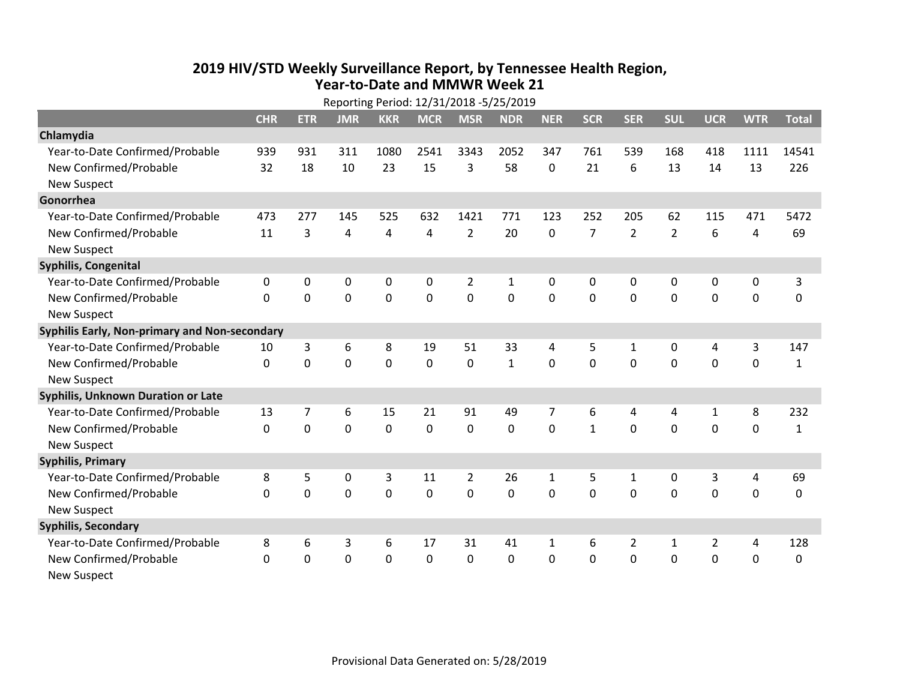## **2019 HIV /STD Weekly Surveillance Report, by Tennessee Health Region, Year‐to‐Date and MMWR Week 21** Reporting Period: 12/31/2018 ‐5/25/2019

| Reporting Period: 12/31/2018 -5/25/2019       |              |             |                |                |              |                |              |                |                |                |                |                |                |              |
|-----------------------------------------------|--------------|-------------|----------------|----------------|--------------|----------------|--------------|----------------|----------------|----------------|----------------|----------------|----------------|--------------|
|                                               | <b>CHR</b>   | <b>ETR</b>  | <b>JMR</b>     | <b>KKR</b>     | <b>MCR</b>   | <b>MSR</b>     | <b>NDR</b>   | <b>NER</b>     | <b>SCR</b>     | <b>SER</b>     | <b>SUL</b>     | <b>UCR</b>     | <b>WTR</b>     | <b>Total</b> |
| Chlamydia                                     |              |             |                |                |              |                |              |                |                |                |                |                |                |              |
| Year-to-Date Confirmed/Probable               | 939          | 931         | 311            | 1080           | 2541         | 3343           | 2052         | 347            | 761            | 539            | 168            | 418            | 1111           | 14541        |
| New Confirmed/Probable                        | 32           | 18          | 10             | 23             | 15           | 3              | 58           | $\mathbf{0}$   | 21             | 6              | 13             | 14             | 13             | 226          |
| <b>New Suspect</b>                            |              |             |                |                |              |                |              |                |                |                |                |                |                |              |
| Gonorrhea                                     |              |             |                |                |              |                |              |                |                |                |                |                |                |              |
| Year-to-Date Confirmed/Probable               | 473          | 277         | 145            | 525            | 632          | 1421           | 771          | 123            | 252            | 205            | 62             | 115            | 471            | 5472         |
| New Confirmed/Probable                        | 11           | 3           | 4              | $\overline{4}$ | 4            | $\overline{2}$ | 20           | $\mathbf 0$    | $\overline{7}$ | $\overline{2}$ | $\overline{2}$ | 6              | 4              | 69           |
| <b>New Suspect</b>                            |              |             |                |                |              |                |              |                |                |                |                |                |                |              |
| <b>Syphilis, Congenital</b>                   |              |             |                |                |              |                |              |                |                |                |                |                |                |              |
| Year-to-Date Confirmed/Probable               | 0            | 0           | 0              | 0              | 0            | $\overline{2}$ | 1            | 0              | 0              | 0              | 0              | 0              | 0              | 3            |
| New Confirmed/Probable                        | $\Omega$     | $\mathbf 0$ | $\mathbf 0$    | $\overline{0}$ | $\mathbf 0$  | $\overline{0}$ | 0            | $\Omega$       | $\Omega$       | $\mathbf 0$    | $\mathbf 0$    | $\mathbf 0$    | $\mathbf 0$    | $\mathbf 0$  |
| <b>New Suspect</b>                            |              |             |                |                |              |                |              |                |                |                |                |                |                |              |
| Syphilis Early, Non-primary and Non-secondary |              |             |                |                |              |                |              |                |                |                |                |                |                |              |
| Year-to-Date Confirmed/Probable               | 10           | 3           | 6              | 8              | 19           | 51             | 33           | 4              | 5              | $\mathbf{1}$   | 0              | 4              | 3              | 147          |
| New Confirmed/Probable                        | $\Omega$     | 0           | 0              | $\overline{0}$ | $\mathbf 0$  | $\mathbf 0$    | $\mathbf{1}$ | $\Omega$       | $\Omega$       | $\Omega$       | 0              | $\mathbf 0$    | $\mathbf 0$    | $\mathbf{1}$ |
| <b>New Suspect</b>                            |              |             |                |                |              |                |              |                |                |                |                |                |                |              |
| <b>Syphilis, Unknown Duration or Late</b>     |              |             |                |                |              |                |              |                |                |                |                |                |                |              |
| Year-to-Date Confirmed/Probable               | 13           | 7           | 6              | 15             | 21           | 91             | 49           | $\overline{7}$ | 6              | 4              | 4              | 1              | 8              | 232          |
| New Confirmed/Probable                        | 0            | $\mathbf 0$ | $\overline{0}$ | 0              | $\mathbf 0$  | $\mathbf 0$    | $\mathbf 0$  | $\Omega$       | $\mathbf{1}$   | $\Omega$       | $\mathbf 0$    | $\mathbf 0$    | $\mathbf 0$    | $\mathbf{1}$ |
| <b>New Suspect</b>                            |              |             |                |                |              |                |              |                |                |                |                |                |                |              |
| <b>Syphilis, Primary</b>                      |              |             |                |                |              |                |              |                |                |                |                |                |                |              |
| Year-to-Date Confirmed/Probable               | 8            | 5           | $\mathbf 0$    | 3              | 11           | $\overline{2}$ | 26           | $\mathbf{1}$   | 5              | $\mathbf{1}$   | 0              | 3              | 4              | 69           |
| New Confirmed/Probable                        | 0            | 0           | 0              | 0              | $\mathbf 0$  | $\mathbf 0$    | 0            | $\mathbf 0$    | $\Omega$       | 0              | 0              | $\mathbf 0$    | $\mathbf 0$    | 0            |
| <b>New Suspect</b>                            |              |             |                |                |              |                |              |                |                |                |                |                |                |              |
| <b>Syphilis, Secondary</b>                    |              |             |                |                |              |                |              |                |                |                |                |                |                |              |
| Year-to-Date Confirmed/Probable               | 8            | 6           | 3              | 6              | 17           | 31             | 41           | $\mathbf{1}$   | 6              | $\overline{2}$ | $\mathbf{1}$   | $\overline{2}$ | $\overline{a}$ | 128          |
| New Confirmed/Probable                        | $\mathbf{0}$ | 0           | 0              | 0              | $\mathbf{0}$ | $\Omega$       | 0            | $\Omega$       | $\Omega$       | 0              | $\mathbf{0}$   | 0              | $\mathbf 0$    | 0            |
| <b>New Suspect</b>                            |              |             |                |                |              |                |              |                |                |                |                |                |                |              |